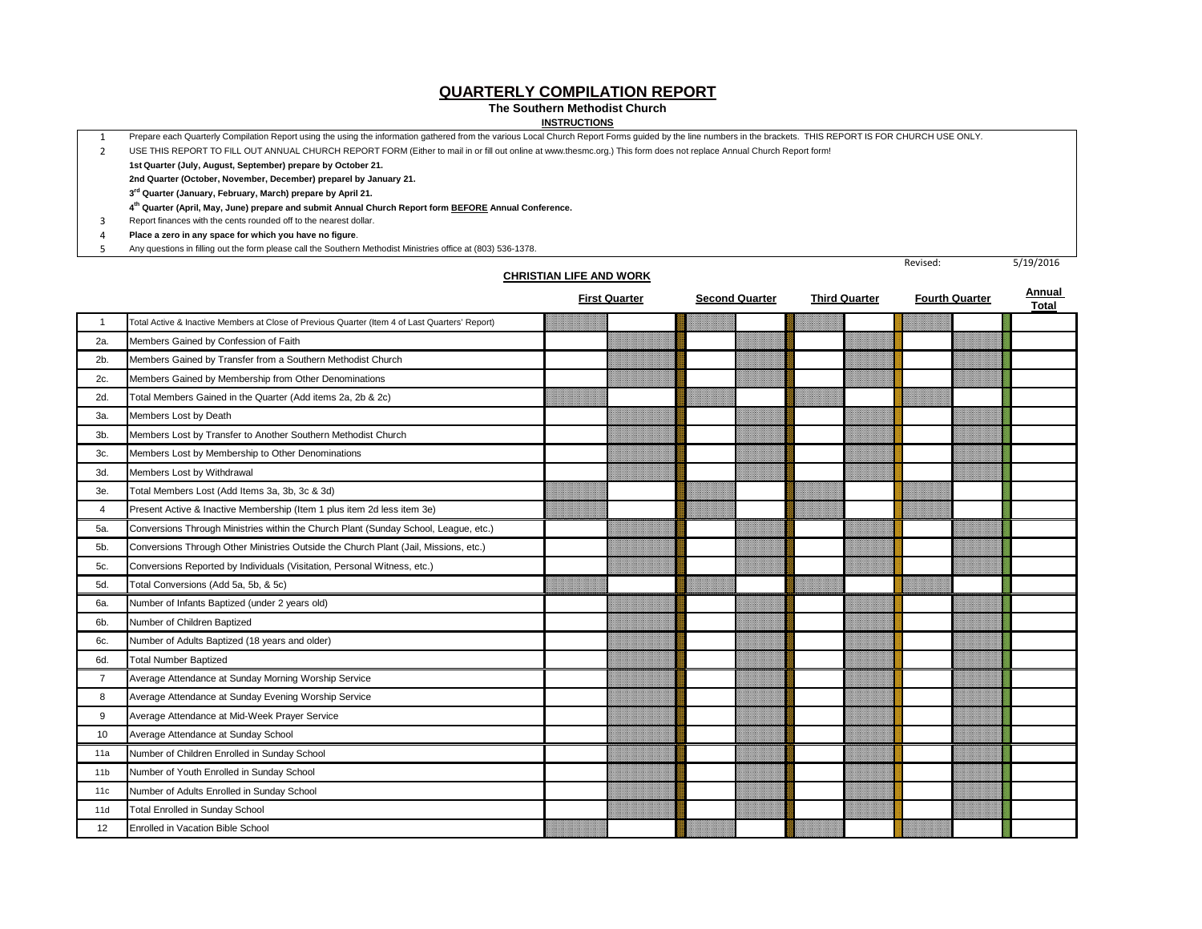#### **QUARTERLY COMPILATION REPORT**

#### **The Southern Methodist Church**

**CHRISTIAN LIFE AND WORK**

#### **INSTRUCTIONS**

1 Prepare each Quarterly Compilation Report using the using the information gathered from the various Local Church Report Forms guided by the line numbers in the brackets. THIS REPORT IS FOR CHURCH USE ONLY.

2 USE THIS REPORT TO FILL OUT ANNUAL CHURCH REPORT FORM (Either to mail in or fill out online at www.thesmc.org.) This form does not replace Annual Church Report form!

**1st Quarter (July, August, September) prepare by October 21.**

**2nd Quarter (October, November, December) preparel by January 21.**

**3rd Quarter (January, February, March) prepare by April 21.**

**4th Quarter (April, May, June) prepare and submit Annual Church Report form BEFORE Annual Conference.**

3 Report finances with the cents rounded off to the nearest dollar.

4 **Place a zero in any space for which you have no figure**.

5 Any questions in filling out the form please call the Southern Methodist Ministries office at (803) 536-1378.

|                 |                                                                                                | <b>First Quarter</b> | <b>Second Quarter</b> | <b>Third Quarter</b> | <b>Fourth Quarter</b> | Annual<br><b>Total</b> |
|-----------------|------------------------------------------------------------------------------------------------|----------------------|-----------------------|----------------------|-----------------------|------------------------|
|                 | Total Active & Inactive Members at Close of Previous Quarter (Item 4 of Last Quarters' Report) |                      |                       |                      |                       |                        |
| 2a.             | Members Gained by Confession of Faith                                                          |                      |                       |                      |                       |                        |
| $2b$ .          | Members Gained by Transfer from a Southern Methodist Church                                    |                      |                       |                      |                       |                        |
| 2c.             | Members Gained by Membership from Other Denominations                                          |                      |                       |                      |                       |                        |
| 2d.             | Total Members Gained in the Quarter (Add items 2a, 2b & 2c)                                    |                      |                       |                      |                       |                        |
| За.             | Members Lost by Death                                                                          |                      |                       |                      |                       |                        |
| 3b.             | Members Lost by Transfer to Another Southern Methodist Church                                  |                      |                       |                      |                       |                        |
| 3c.             | Members Lost by Membership to Other Denominations                                              |                      |                       |                      |                       |                        |
| 3d.             | Members Lost by Withdrawal                                                                     |                      |                       |                      |                       |                        |
| Зе.             | Total Members Lost (Add Items 3a, 3b, 3c & 3d)                                                 |                      |                       |                      |                       |                        |
| 4               | Present Active & Inactive Membership (Item 1 plus item 2d less item 3e)                        |                      |                       |                      |                       |                        |
| 5a.             | Conversions Through Ministries within the Church Plant (Sunday School, League, etc.)           |                      |                       |                      |                       |                        |
| 5b.             | Conversions Through Other Ministries Outside the Church Plant (Jail, Missions, etc.)           |                      |                       |                      |                       |                        |
| <b>5с.</b>      | Conversions Reported by Individuals (Visitation, Personal Witness, etc.)                       |                      |                       |                      |                       |                        |
| 5d.             | Total Conversions (Add 5a, 5b, & 5c)                                                           |                      |                       |                      |                       |                        |
| 6а.             | Number of Infants Baptized (under 2 years old)                                                 |                      |                       |                      |                       |                        |
| 6b.             | Number of Children Baptized                                                                    |                      |                       |                      |                       |                        |
| 6c.             | Number of Adults Baptized (18 years and older)                                                 |                      |                       |                      |                       |                        |
| 6d.             | <b>Total Number Baptized</b>                                                                   |                      |                       |                      |                       |                        |
| $\overline{7}$  | Average Attendance at Sunday Morning Worship Service                                           |                      |                       |                      |                       |                        |
| 8               | Average Attendance at Sunday Evening Worship Service                                           |                      |                       |                      |                       |                        |
| 9               | Average Attendance at Mid-Week Prayer Service                                                  |                      |                       |                      |                       |                        |
| 10              | Average Attendance at Sunday School                                                            |                      |                       |                      |                       |                        |
| 11a             | Number of Children Enrolled in Sunday School                                                   |                      |                       |                      |                       |                        |
| 11 <sub>b</sub> | Number of Youth Enrolled in Sunday School                                                      |                      |                       |                      |                       |                        |
| 11 <sub>c</sub> | Number of Adults Enrolled in Sunday School                                                     |                      |                       |                      |                       |                        |
| 11d             | <b>Total Enrolled in Sunday School</b>                                                         |                      |                       |                      |                       |                        |
| 12              | <b>Enrolled in Vacation Bible School</b>                                                       |                      |                       |                      |                       |                        |

Revised: 5/19/2016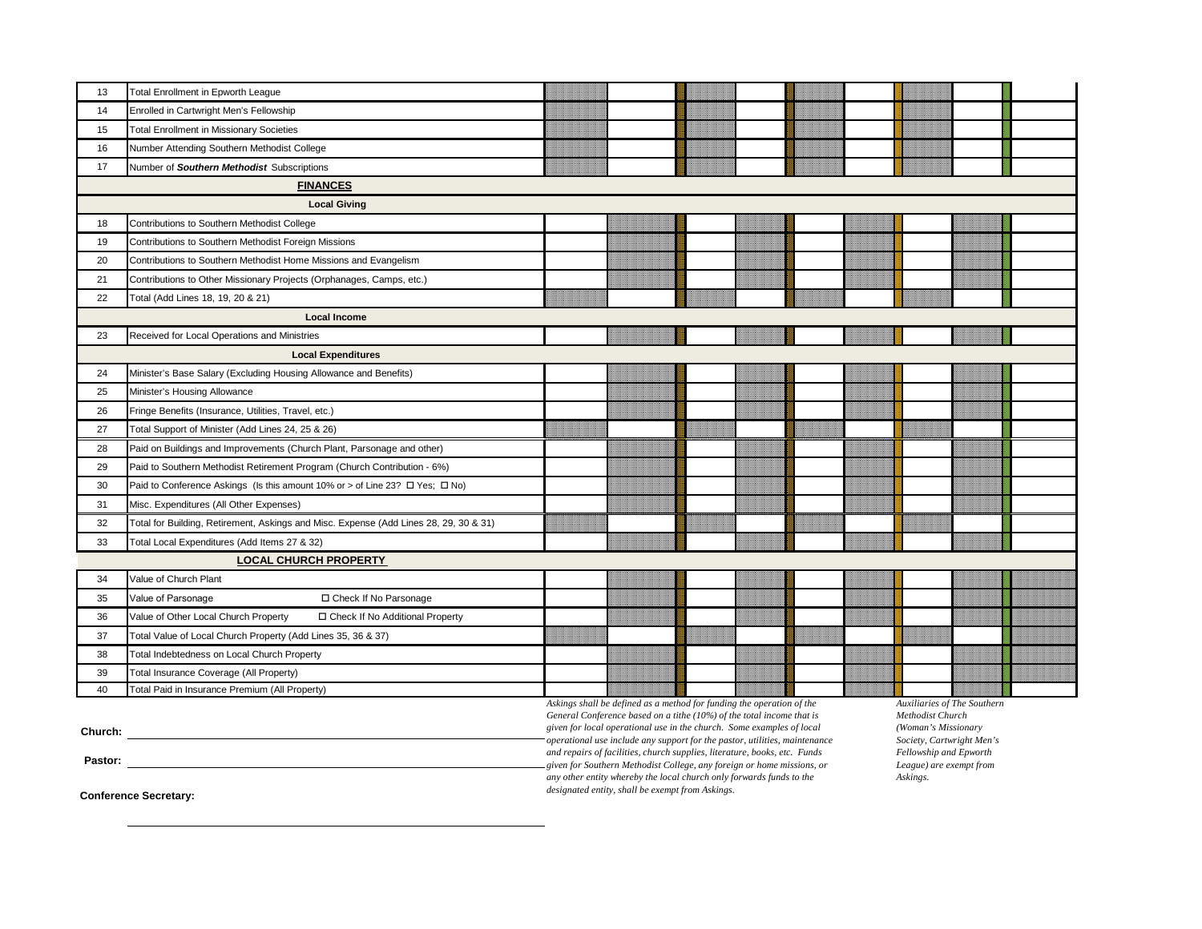| 13 | <b>Total Enrollment in Epworth League</b>                                             |                                                                                                                                                |  |  |                                                 |  |
|----|---------------------------------------------------------------------------------------|------------------------------------------------------------------------------------------------------------------------------------------------|--|--|-------------------------------------------------|--|
| 14 | Enrolled in Cartwright Men's Fellowship                                               |                                                                                                                                                |  |  |                                                 |  |
| 15 | <b>Total Enrollment in Missionary Societies</b>                                       |                                                                                                                                                |  |  |                                                 |  |
| 16 | Number Attending Southern Methodist College                                           |                                                                                                                                                |  |  |                                                 |  |
| 17 | Number of Southern Methodist Subscriptions                                            |                                                                                                                                                |  |  |                                                 |  |
|    | <b>FINANCES</b>                                                                       |                                                                                                                                                |  |  |                                                 |  |
|    | <b>Local Giving</b>                                                                   |                                                                                                                                                |  |  |                                                 |  |
| 18 | Contributions to Southern Methodist College                                           |                                                                                                                                                |  |  |                                                 |  |
| 19 | Contributions to Southern Methodist Foreign Missions                                  |                                                                                                                                                |  |  |                                                 |  |
| 20 | Contributions to Southern Methodist Home Missions and Evangelism                      |                                                                                                                                                |  |  |                                                 |  |
| 21 | Contributions to Other Missionary Projects (Orphanages, Camps, etc.)                  |                                                                                                                                                |  |  |                                                 |  |
| 22 | Total (Add Lines 18, 19, 20 & 21)                                                     |                                                                                                                                                |  |  |                                                 |  |
|    | <b>Local Income</b>                                                                   |                                                                                                                                                |  |  |                                                 |  |
| 23 | Received for Local Operations and Ministries                                          |                                                                                                                                                |  |  |                                                 |  |
|    | <b>Local Expenditures</b>                                                             |                                                                                                                                                |  |  |                                                 |  |
| 24 | Minister's Base Salary (Excluding Housing Allowance and Benefits)                     |                                                                                                                                                |  |  |                                                 |  |
| 25 | Minister's Housing Allowance                                                          |                                                                                                                                                |  |  |                                                 |  |
| 26 | Fringe Benefits (Insurance, Utilities, Travel, etc.)                                  |                                                                                                                                                |  |  |                                                 |  |
| 27 | Total Support of Minister (Add Lines 24, 25 & 26)                                     |                                                                                                                                                |  |  |                                                 |  |
| 28 | Paid on Buildings and Improvements (Church Plant, Parsonage and other)                |                                                                                                                                                |  |  |                                                 |  |
| 29 | Paid to Southern Methodist Retirement Program (Church Contribution - 6%)              |                                                                                                                                                |  |  |                                                 |  |
| 30 | Paid to Conference Askings (Is this amount 10% or > of Line 23? □ Yes; □ No)          |                                                                                                                                                |  |  |                                                 |  |
| 31 | Misc. Expenditures (All Other Expenses)                                               |                                                                                                                                                |  |  |                                                 |  |
| 32 | Total for Building, Retirement, Askings and Misc. Expense (Add Lines 28, 29, 30 & 31) |                                                                                                                                                |  |  |                                                 |  |
| 33 | Total Local Expenditures (Add Items 27 & 32)                                          |                                                                                                                                                |  |  |                                                 |  |
|    | <b>LOCAL CHURCH PROPERTY</b>                                                          |                                                                                                                                                |  |  |                                                 |  |
| 34 | Value of Church Plant                                                                 |                                                                                                                                                |  |  |                                                 |  |
| 35 | Value of Parsonage<br>□ Check If No Parsonage                                         |                                                                                                                                                |  |  |                                                 |  |
| 36 | Value of Other Local Church Property<br>□ Check If No Additional Property             |                                                                                                                                                |  |  |                                                 |  |
| 37 | Total Value of Local Church Property (Add Lines 35, 36 & 37)                          |                                                                                                                                                |  |  |                                                 |  |
| 38 | Total Indebtedness on Local Church Property                                           |                                                                                                                                                |  |  |                                                 |  |
| 39 | Total Insurance Coverage (All Property)                                               |                                                                                                                                                |  |  |                                                 |  |
| 40 | Total Paid in Insurance Premium (All Property)                                        |                                                                                                                                                |  |  |                                                 |  |
|    |                                                                                       | Askings shall be defined as a method for funding the operation of the<br>General Conference based on a tithe (10%) of the total income that is |  |  | Auxiliaries of The Southern<br>Methodist Church |  |

**Church: Church: Church: Church: Church: Church: Church: Church: Church: Church: Church: Church: Church: Church: Church: Church: Church: Church: Church: Church: Church: Church: C** 

**Pastor:** 

*General Conference based on a tithe (10%) of the total income that is given for local operational use in the church. Some examples of local operational use include any support for the pastor, utilities, maintenance and repairs of facilities, church supplies, literature, books, etc. Funds given for Southern Methodist College, any foreign or home missions, or any other entity whereby the local church only forwards funds to the designated entity, shall be exempt from Askings.*

*Methodist Church (Woman's Missionary Society, Cartwright Men's Fellowship and Epworth League) are exempt from Askings.*

 **Conference Secretary:**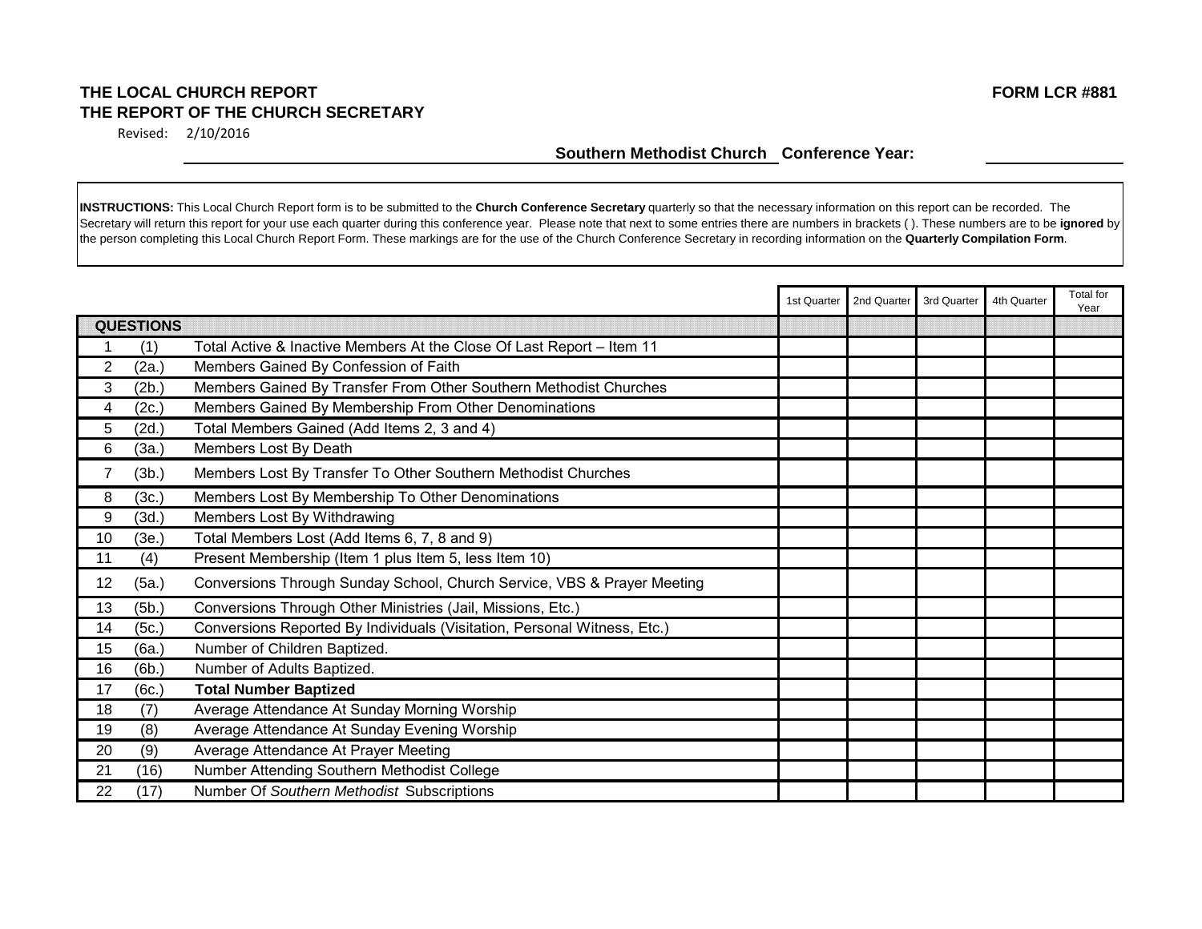## **THE LOCAL CHURCH REPORT FORM LCR #881 THE REPORT OF THE CHURCH SECRETARY**

Revised: 2/10/2016

|    |                  |                                                                          | 1st Quarter | 2nd Quarter | 3rd Quarter | 4th Quarter | <b>Total</b> for |
|----|------------------|--------------------------------------------------------------------------|-------------|-------------|-------------|-------------|------------------|
|    | <b>QUESTIONS</b> |                                                                          |             |             |             |             | Year             |
|    | (1)              | Total Active & Inactive Members At the Close Of Last Report - Item 11    |             |             |             |             |                  |
| 2  | (2a.)            | Members Gained By Confession of Faith                                    |             |             |             |             |                  |
| 3  | (2b)             | Members Gained By Transfer From Other Southern Methodist Churches        |             |             |             |             |                  |
| 4  | (2c.)            | Members Gained By Membership From Other Denominations                    |             |             |             |             |                  |
| 5  | (2d.)            | Total Members Gained (Add Items 2, 3 and 4)                              |             |             |             |             |                  |
| 6  | (3a.)            | Members Lost By Death                                                    |             |             |             |             |                  |
| 7  | (3b.)            | Members Lost By Transfer To Other Southern Methodist Churches            |             |             |             |             |                  |
| 8  | (3c.)            | Members Lost By Membership To Other Denominations                        |             |             |             |             |                  |
| 9  | (3d.)            | Members Lost By Withdrawing                                              |             |             |             |             |                  |
| 10 | (3e.)            | Total Members Lost (Add Items 6, 7, 8 and 9)                             |             |             |             |             |                  |
| 11 | (4)              | Present Membership (Item 1 plus Item 5, less Item 10)                    |             |             |             |             |                  |
| 12 | (5a.)            | Conversions Through Sunday School, Church Service, VBS & Prayer Meeting  |             |             |             |             |                  |
| 13 | (5b.)            | Conversions Through Other Ministries (Jail, Missions, Etc.)              |             |             |             |             |                  |
| 14 | (5c.)            | Conversions Reported By Individuals (Visitation, Personal Witness, Etc.) |             |             |             |             |                  |
| 15 | (6a.)            | Number of Children Baptized.                                             |             |             |             |             |                  |
| 16 | (6b.)            | Number of Adults Baptized.                                               |             |             |             |             |                  |
| 17 | (6c.)            | <b>Total Number Baptized</b>                                             |             |             |             |             |                  |
| 18 | (7)              | Average Attendance At Sunday Morning Worship                             |             |             |             |             |                  |
| 19 | (8)              | Average Attendance At Sunday Evening Worship                             |             |             |             |             |                  |
| 20 | (9)              | Average Attendance At Prayer Meeting                                     |             |             |             |             |                  |
| 21 | (16)             | Number Attending Southern Methodist College                              |             |             |             |             |                  |
| 22 | (17)             | Number Of Southern Methodist Subscriptions                               |             |             |             |             |                  |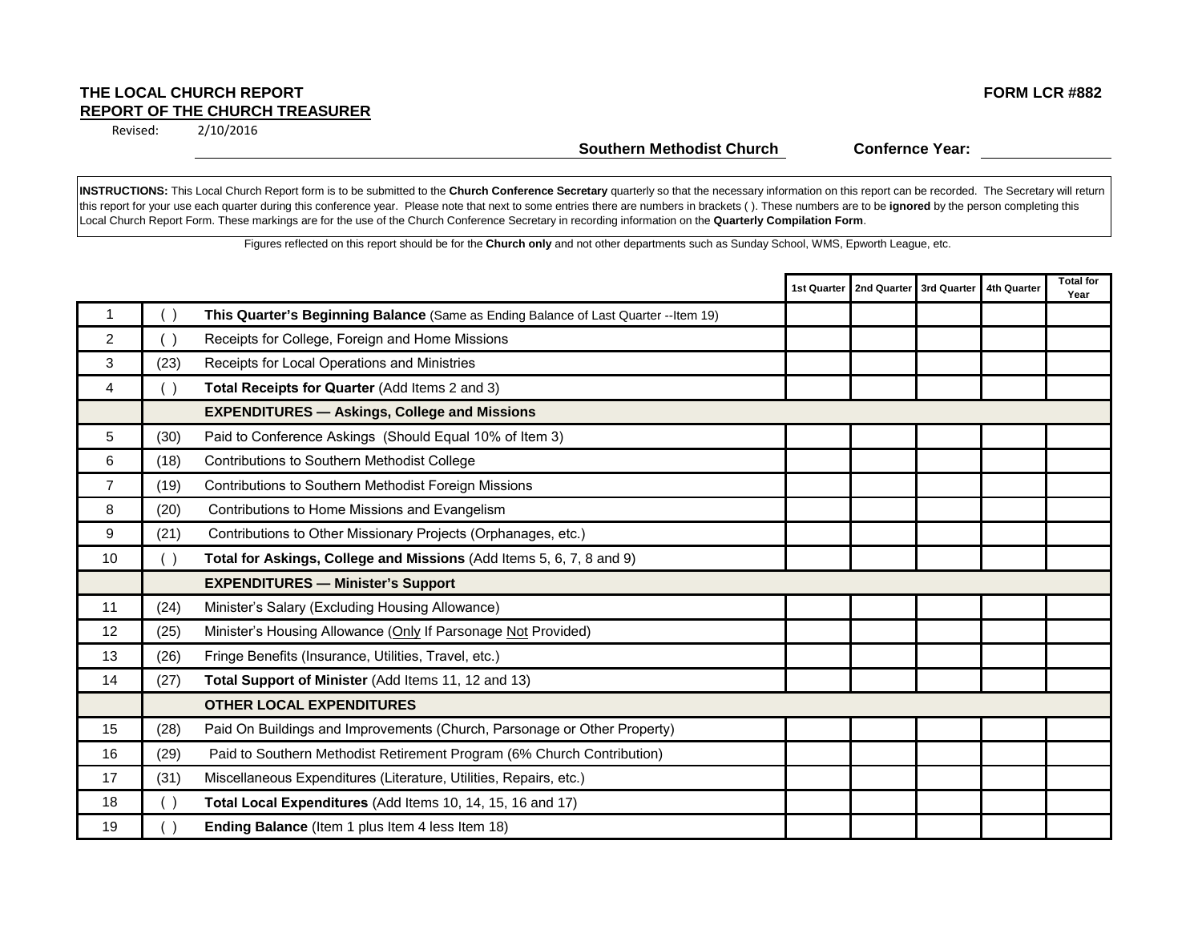#### **THE LOCAL CHURCH REPORT FORM LCR #882 REPORT OF THE CHURCH TREASURER**

2/10/2016 Revised:

#### **Southern Methodist Church Confernce Year:**

**INSTRUCTIONS:** This Local Church Report form is to be submitted to the **Church Conference Secretary** quarterly so that the necessary information on this report can be recorded. The Secretary will return this report for your use each quarter during this conference year. Please note that next to some entries there are numbers in brackets ( ). These numbers are to be **ignored** by the person completing this Local Church Report Form. These markings are for the use of the Church Conference Secretary in recording information on the **Quarterly Compilation Form**.

Figures reflected on this report should be for the **Church only** and not other departments such as Sunday School, WMS, Epworth League, etc.

|                |      |                                                                                      | 1st Quarter   2nd Quarter   3rd Quarter   4th Quarter |  | <b>Total for</b><br>Year |
|----------------|------|--------------------------------------------------------------------------------------|-------------------------------------------------------|--|--------------------------|
|                | ()   | This Quarter's Beginning Balance (Same as Ending Balance of Last Quarter -- Item 19) |                                                       |  |                          |
| $\overline{2}$ | ( )  | Receipts for College, Foreign and Home Missions                                      |                                                       |  |                          |
| 3              | (23) | Receipts for Local Operations and Ministries                                         |                                                       |  |                          |
| $\overline{4}$ | ( )  | Total Receipts for Quarter (Add Items 2 and 3)                                       |                                                       |  |                          |
|                |      | <b>EXPENDITURES - Askings, College and Missions</b>                                  |                                                       |  |                          |
| 5              | (30) | Paid to Conference Askings (Should Equal 10% of Item 3)                              |                                                       |  |                          |
| 6              | (18) | Contributions to Southern Methodist College                                          |                                                       |  |                          |
| $\overline{7}$ | (19) | Contributions to Southern Methodist Foreign Missions                                 |                                                       |  |                          |
| 8              | (20) | Contributions to Home Missions and Evangelism                                        |                                                       |  |                          |
| 9              | (21) | Contributions to Other Missionary Projects (Orphanages, etc.)                        |                                                       |  |                          |
| 10             | ( )  | Total for Askings, College and Missions (Add Items 5, 6, 7, 8 and 9)                 |                                                       |  |                          |
|                |      | <b>EXPENDITURES - Minister's Support</b>                                             |                                                       |  |                          |
| 11             | (24) | Minister's Salary (Excluding Housing Allowance)                                      |                                                       |  |                          |
| 12             | (25) | Minister's Housing Allowance (Only If Parsonage Not Provided)                        |                                                       |  |                          |
| 13             | (26) | Fringe Benefits (Insurance, Utilities, Travel, etc.)                                 |                                                       |  |                          |
| 14             | (27) | Total Support of Minister (Add Items 11, 12 and 13)                                  |                                                       |  |                          |
|                |      | <b>OTHER LOCAL EXPENDITURES</b>                                                      |                                                       |  |                          |
| 15             | (28) | Paid On Buildings and Improvements (Church, Parsonage or Other Property)             |                                                       |  |                          |
| 16             | (29) | Paid to Southern Methodist Retirement Program (6% Church Contribution)               |                                                       |  |                          |
| 17             | (31) | Miscellaneous Expenditures (Literature, Utilities, Repairs, etc.)                    |                                                       |  |                          |
| 18             | ( )  | Total Local Expenditures (Add Items 10, 14, 15, 16 and 17)                           |                                                       |  |                          |
| 19             |      | Ending Balance (Item 1 plus Item 4 less Item 18)                                     |                                                       |  |                          |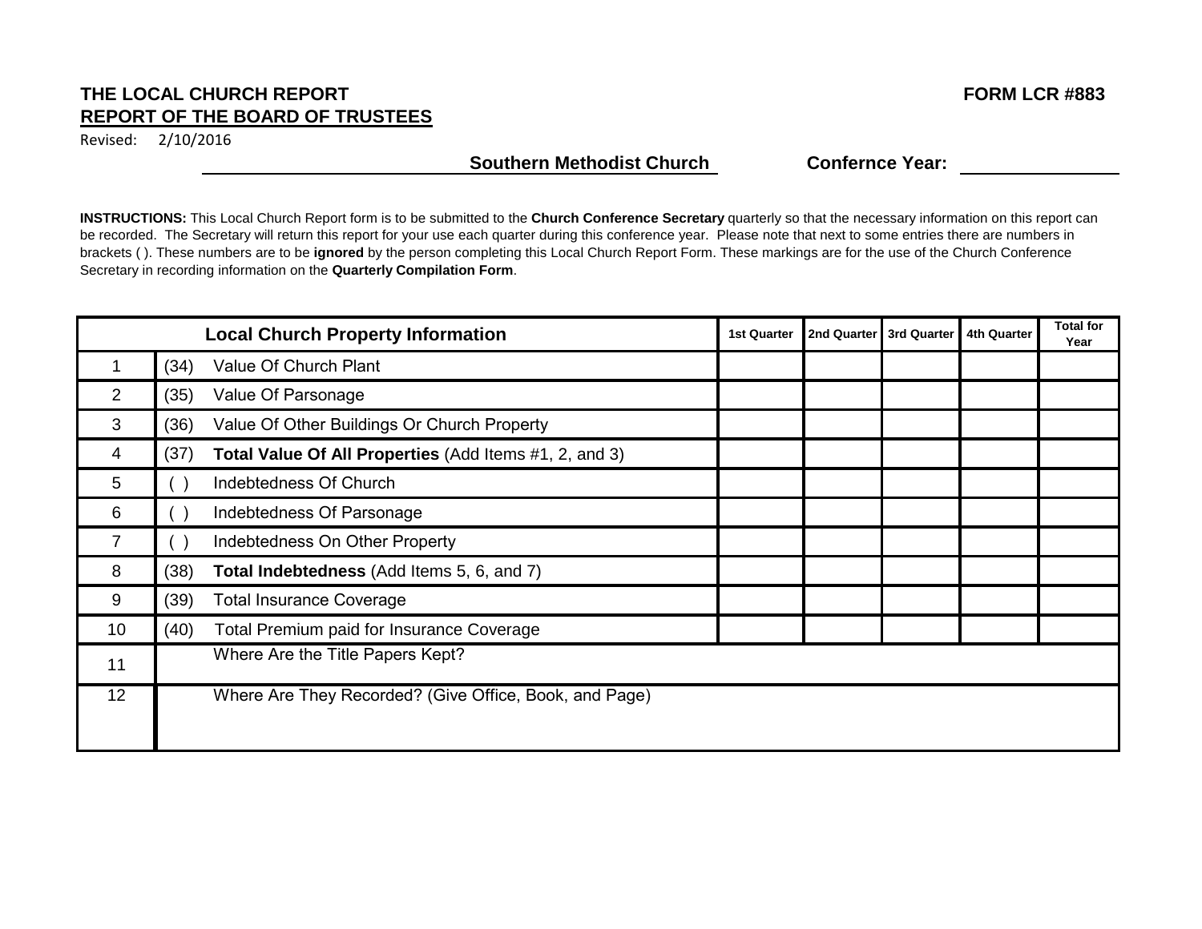## THE LOCAL CHURCH REPORT **FORM LCR #883 REPORT OF THE BOARD OF TRUSTEES**

Revised: 2/10/2016

## **Southern Methodist Church Confernce Year:**

|                |      | <b>Local Church Property Information</b>               | <b>1st Quarter</b> | 2nd Quarter | 3rd Quarter | <b>4th Quarter</b> | <b>Total for</b><br>Year |
|----------------|------|--------------------------------------------------------|--------------------|-------------|-------------|--------------------|--------------------------|
|                | (34) | Value Of Church Plant                                  |                    |             |             |                    |                          |
| $\overline{2}$ | (35) | Value Of Parsonage                                     |                    |             |             |                    |                          |
| 3              | (36) | Value Of Other Buildings Or Church Property            |                    |             |             |                    |                          |
| 4              | (37) | Total Value Of All Properties (Add Items #1, 2, and 3) |                    |             |             |                    |                          |
| 5              |      | Indebtedness Of Church                                 |                    |             |             |                    |                          |
| 6              |      | Indebtedness Of Parsonage                              |                    |             |             |                    |                          |
|                |      | Indebtedness On Other Property                         |                    |             |             |                    |                          |
| 8              | (38) | Total Indebtedness (Add Items 5, 6, and 7)             |                    |             |             |                    |                          |
| 9              | (39) | <b>Total Insurance Coverage</b>                        |                    |             |             |                    |                          |
| 10             | (40) | Total Premium paid for Insurance Coverage              |                    |             |             |                    |                          |
| 11             |      | Where Are the Title Papers Kept?                       |                    |             |             |                    |                          |
| 12             |      | Where Are They Recorded? (Give Office, Book, and Page) |                    |             |             |                    |                          |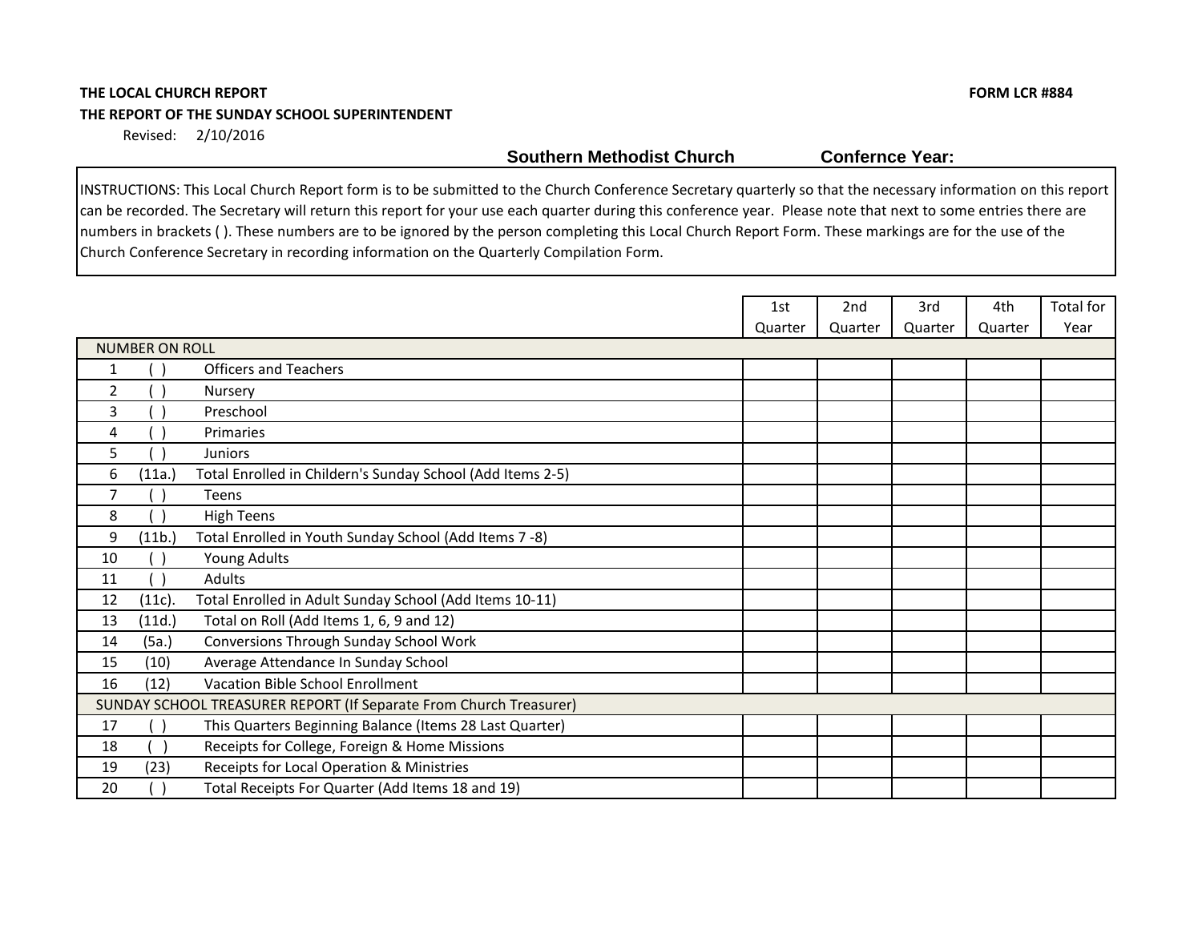# **THE LOCAL CHURCH REPORT FORM LCR #884 THE REPORT OF THE SUNDAY SCHOOL SUPERINTENDENT**

Revised: 2/10/2016

**Southern Methodist Church Confernce Year:** 

|    |                       |                                                                    | 1st     | 2 <sub>nd</sub> | 3rd     | 4th     | Total for |
|----|-----------------------|--------------------------------------------------------------------|---------|-----------------|---------|---------|-----------|
|    |                       |                                                                    | Quarter | Quarter         | Quarter | Quarter | Year      |
|    | <b>NUMBER ON ROLL</b> |                                                                    |         |                 |         |         |           |
|    |                       | <b>Officers and Teachers</b>                                       |         |                 |         |         |           |
| 2  |                       | Nursery                                                            |         |                 |         |         |           |
| 3  |                       | Preschool                                                          |         |                 |         |         |           |
| 4  |                       | Primaries                                                          |         |                 |         |         |           |
| 5  |                       | Juniors                                                            |         |                 |         |         |           |
| 6  | (11a.)                | Total Enrolled in Childern's Sunday School (Add Items 2-5)         |         |                 |         |         |           |
| 7  |                       | Teens                                                              |         |                 |         |         |           |
| 8  |                       | <b>High Teens</b>                                                  |         |                 |         |         |           |
| 9  | (11b.)                | Total Enrolled in Youth Sunday School (Add Items 7 -8)             |         |                 |         |         |           |
| 10 |                       | Young Adults                                                       |         |                 |         |         |           |
| 11 |                       | Adults                                                             |         |                 |         |         |           |
| 12 | (11c).                | Total Enrolled in Adult Sunday School (Add Items 10-11)            |         |                 |         |         |           |
| 13 | (11d.)                | Total on Roll (Add Items 1, 6, 9 and 12)                           |         |                 |         |         |           |
| 14 | (5a.)                 | Conversions Through Sunday School Work                             |         |                 |         |         |           |
| 15 | (10)                  | Average Attendance In Sunday School                                |         |                 |         |         |           |
| 16 | (12)                  | Vacation Bible School Enrollment                                   |         |                 |         |         |           |
|    |                       | SUNDAY SCHOOL TREASURER REPORT (If Separate From Church Treasurer) |         |                 |         |         |           |
| 17 |                       | This Quarters Beginning Balance (Items 28 Last Quarter)            |         |                 |         |         |           |
| 18 |                       | Receipts for College, Foreign & Home Missions                      |         |                 |         |         |           |
| 19 | (23)                  | Receipts for Local Operation & Ministries                          |         |                 |         |         |           |
| 20 |                       | Total Receipts For Quarter (Add Items 18 and 19)                   |         |                 |         |         |           |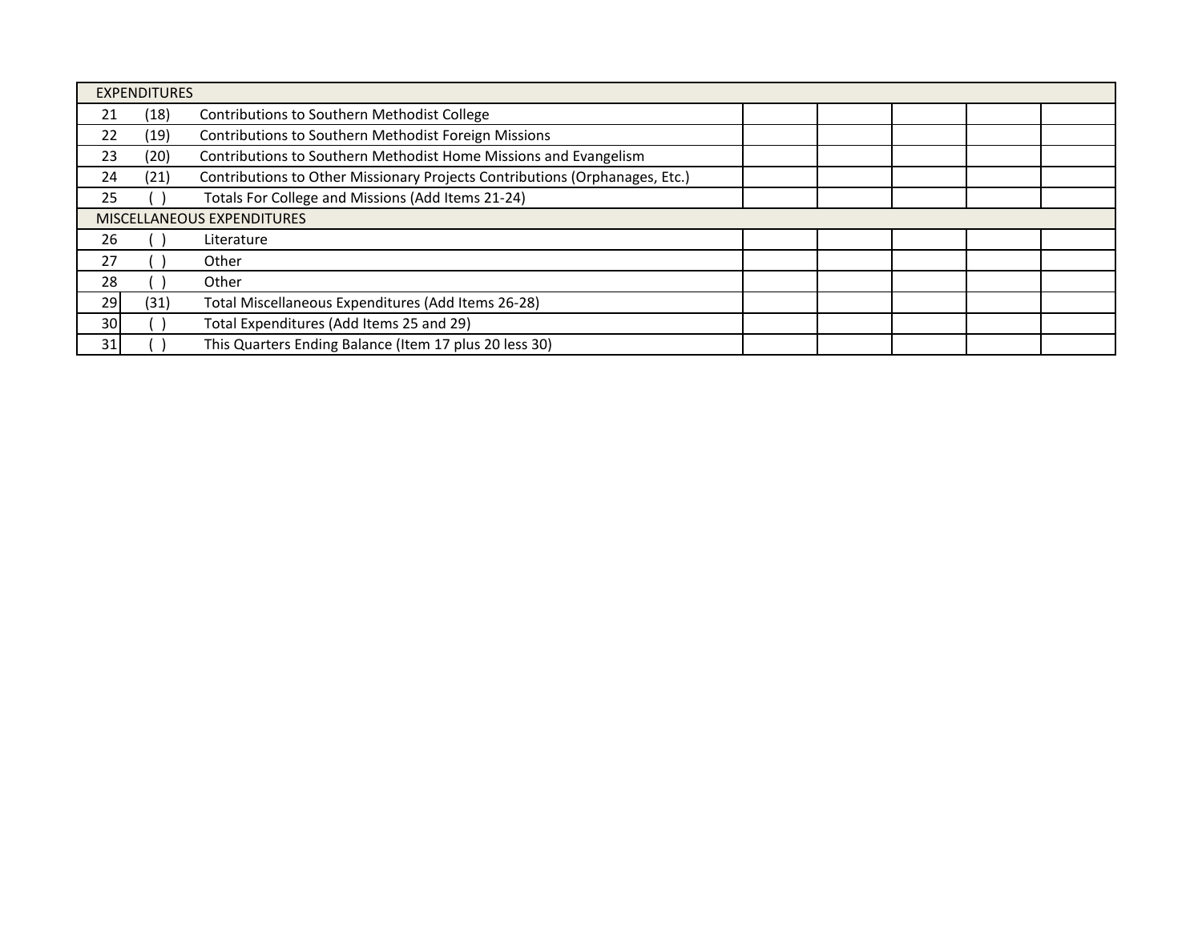|    | <b>EXPENDITURES</b>        |                                                                             |  |  |  |  |  |  |  |  |
|----|----------------------------|-----------------------------------------------------------------------------|--|--|--|--|--|--|--|--|
| 21 | (18)                       | Contributions to Southern Methodist College                                 |  |  |  |  |  |  |  |  |
| 22 | (19)                       | <b>Contributions to Southern Methodist Foreign Missions</b>                 |  |  |  |  |  |  |  |  |
| 23 | (20)                       | Contributions to Southern Methodist Home Missions and Evangelism            |  |  |  |  |  |  |  |  |
| 24 | (21)                       | Contributions to Other Missionary Projects Contributions (Orphanages, Etc.) |  |  |  |  |  |  |  |  |
| 25 |                            | Totals For College and Missions (Add Items 21-24)                           |  |  |  |  |  |  |  |  |
|    | MISCELLANEOUS EXPENDITURES |                                                                             |  |  |  |  |  |  |  |  |
| 26 |                            | Literature                                                                  |  |  |  |  |  |  |  |  |
| 27 |                            | Other                                                                       |  |  |  |  |  |  |  |  |
| 28 |                            | Other                                                                       |  |  |  |  |  |  |  |  |
| 29 | (31)                       | Total Miscellaneous Expenditures (Add Items 26-28)                          |  |  |  |  |  |  |  |  |
| 30 |                            | Total Expenditures (Add Items 25 and 29)                                    |  |  |  |  |  |  |  |  |
| 31 |                            | This Quarters Ending Balance (Item 17 plus 20 less 30)                      |  |  |  |  |  |  |  |  |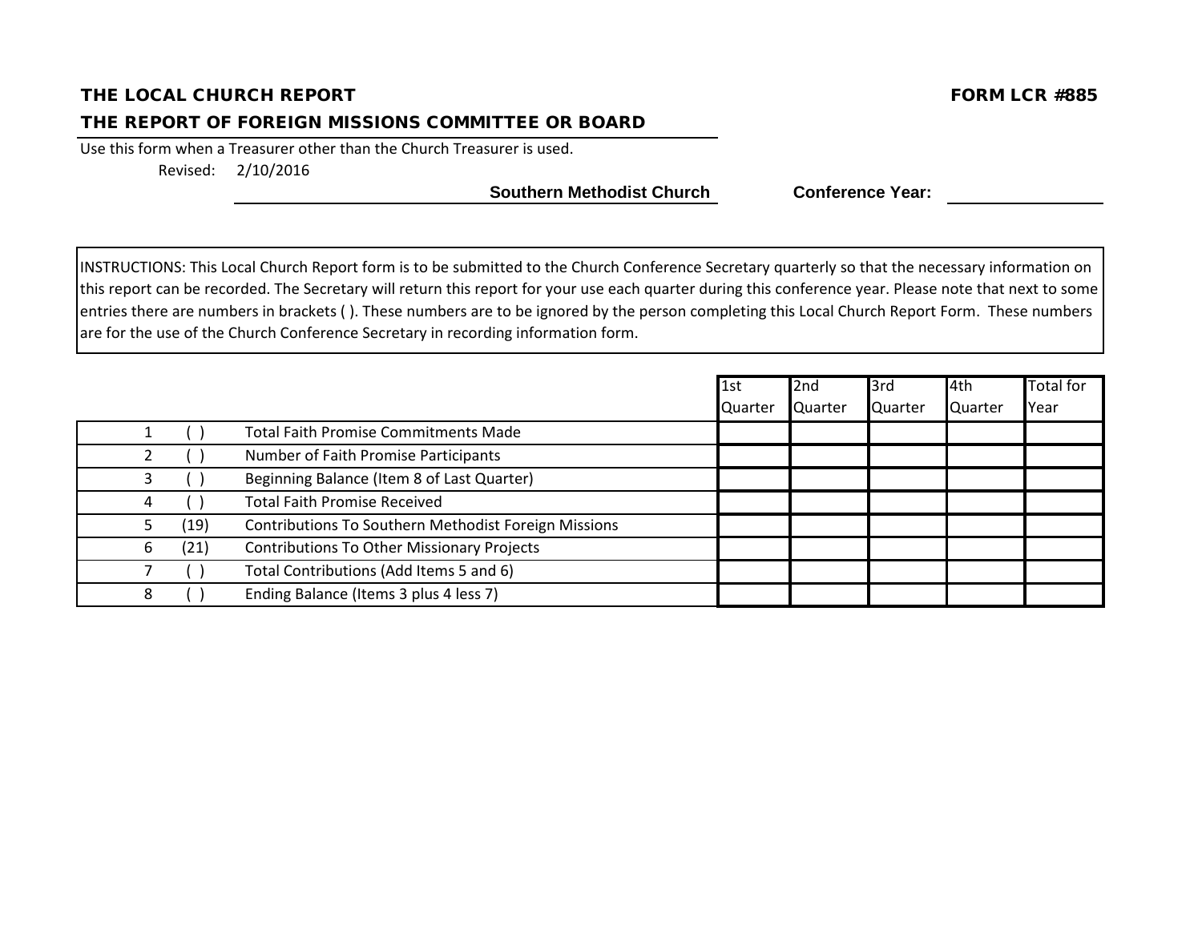## THE LOCAL CHURCH REPORT FORM LARGED AND THE LOCAL CHURCH REPORT

#### THE REPORT OF FOREIGN MISSIONS COMMITTEE OR BOARD

Use this form when a Treasurer other than the Church Treasurer is used. Revised: 2/10/2016

Southern Methodist Church Conference Year:

|   |      |                                                             | 1st     | 2nd     | 3rd     | l4th    | <b>Total for</b> |
|---|------|-------------------------------------------------------------|---------|---------|---------|---------|------------------|
|   |      |                                                             | Quarter | Quarter | Quarter | Quarter | Year             |
|   |      | <b>Total Faith Promise Commitments Made</b>                 |         |         |         |         |                  |
|   |      | Number of Faith Promise Participants                        |         |         |         |         |                  |
|   |      | Beginning Balance (Item 8 of Last Quarter)                  |         |         |         |         |                  |
| 4 |      | <b>Total Faith Promise Received</b>                         |         |         |         |         |                  |
|   | (19) | <b>Contributions To Southern Methodist Foreign Missions</b> |         |         |         |         |                  |
| b | (21) | <b>Contributions To Other Missionary Projects</b>           |         |         |         |         |                  |
|   |      | Total Contributions (Add Items 5 and 6)                     |         |         |         |         |                  |
|   |      | Ending Balance (Items 3 plus 4 less 7)                      |         |         |         |         |                  |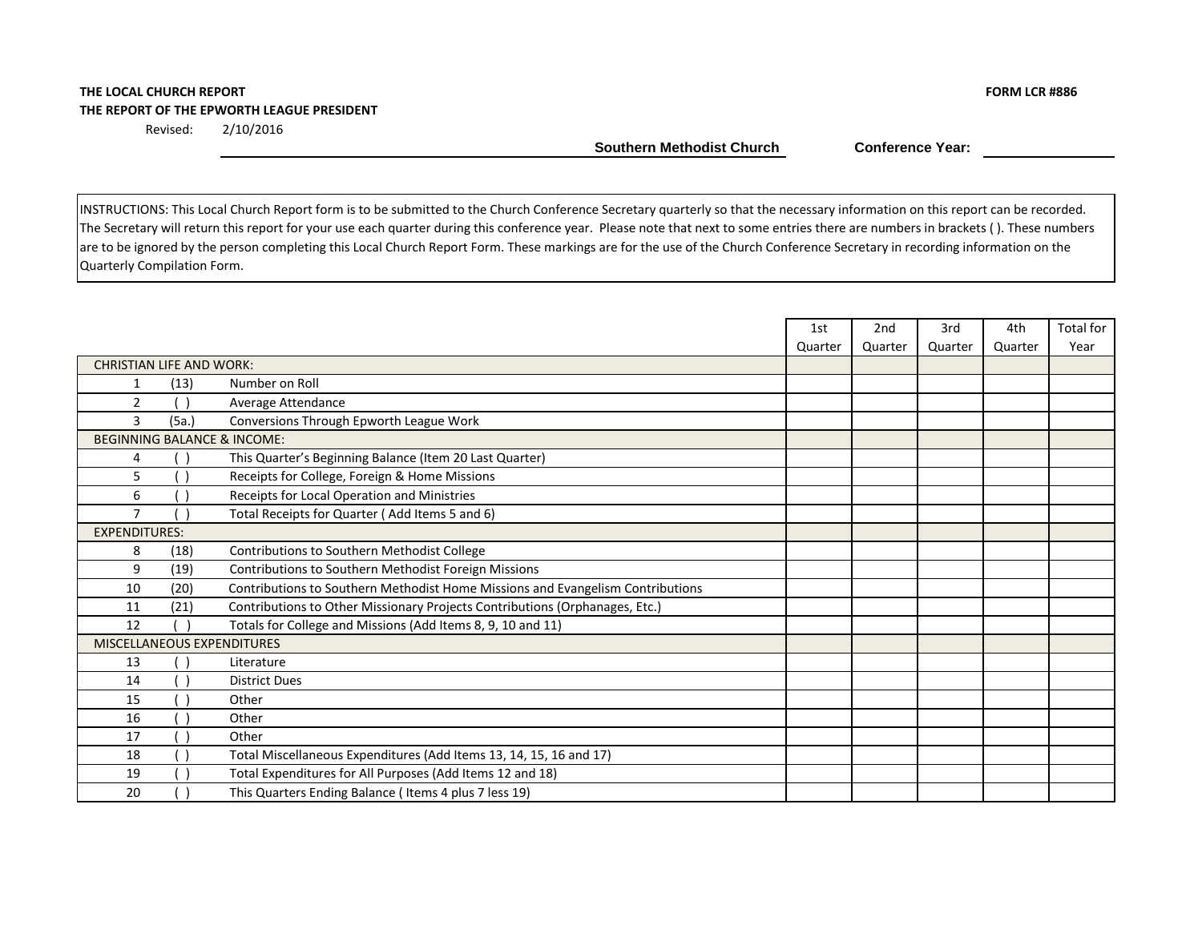#### **THE LOCAL CHURCH REPORT FORM LCR #886 THE REPORT OF THE EPWORTH LEAGUE PRESIDENT**

Revised: 2/10/2016

Southern Methodist Church **Conference Year:** 

|                                 |       |                                                                                | 1st     | 2 <sub>nd</sub> | 3rd     | 4th     | Total for |
|---------------------------------|-------|--------------------------------------------------------------------------------|---------|-----------------|---------|---------|-----------|
|                                 |       |                                                                                | Quarter | Quarter         | Quarter | Quarter | Year      |
| <b>CHRISTIAN LIFE AND WORK:</b> |       |                                                                                |         |                 |         |         |           |
| 1                               | (13)  | Number on Roll                                                                 |         |                 |         |         |           |
| 2                               |       | Average Attendance                                                             |         |                 |         |         |           |
| 3                               | (5a.) | Conversions Through Epworth League Work                                        |         |                 |         |         |           |
|                                 |       | <b>BEGINNING BALANCE &amp; INCOME:</b>                                         |         |                 |         |         |           |
| 4                               |       | This Quarter's Beginning Balance (Item 20 Last Quarter)                        |         |                 |         |         |           |
| 5                               |       | Receipts for College, Foreign & Home Missions                                  |         |                 |         |         |           |
| 6                               |       | Receipts for Local Operation and Ministries                                    |         |                 |         |         |           |
| $\overline{7}$                  |       | Total Receipts for Quarter (Add Items 5 and 6)                                 |         |                 |         |         |           |
| <b>EXPENDITURES:</b>            |       |                                                                                |         |                 |         |         |           |
| 8                               | (18)  | Contributions to Southern Methodist College                                    |         |                 |         |         |           |
| 9                               | (19)  | Contributions to Southern Methodist Foreign Missions                           |         |                 |         |         |           |
| 10                              | (20)  | Contributions to Southern Methodist Home Missions and Evangelism Contributions |         |                 |         |         |           |
| 11                              | (21)  | Contributions to Other Missionary Projects Contributions (Orphanages, Etc.)    |         |                 |         |         |           |
| 12                              |       | Totals for College and Missions (Add Items 8, 9, 10 and 11)                    |         |                 |         |         |           |
|                                 |       | <b>MISCELLANEOUS EXPENDITURES</b>                                              |         |                 |         |         |           |
| 13                              |       | Literature                                                                     |         |                 |         |         |           |
| 14                              |       | <b>District Dues</b>                                                           |         |                 |         |         |           |
| 15                              |       | Other                                                                          |         |                 |         |         |           |
| 16                              |       | Other                                                                          |         |                 |         |         |           |
| 17                              |       | Other                                                                          |         |                 |         |         |           |
| 18                              |       | Total Miscellaneous Expenditures (Add Items 13, 14, 15, 16 and 17)             |         |                 |         |         |           |
| 19                              |       | Total Expenditures for All Purposes (Add Items 12 and 18)                      |         |                 |         |         |           |
| 20                              |       | This Quarters Ending Balance (Items 4 plus 7 less 19)                          |         |                 |         |         |           |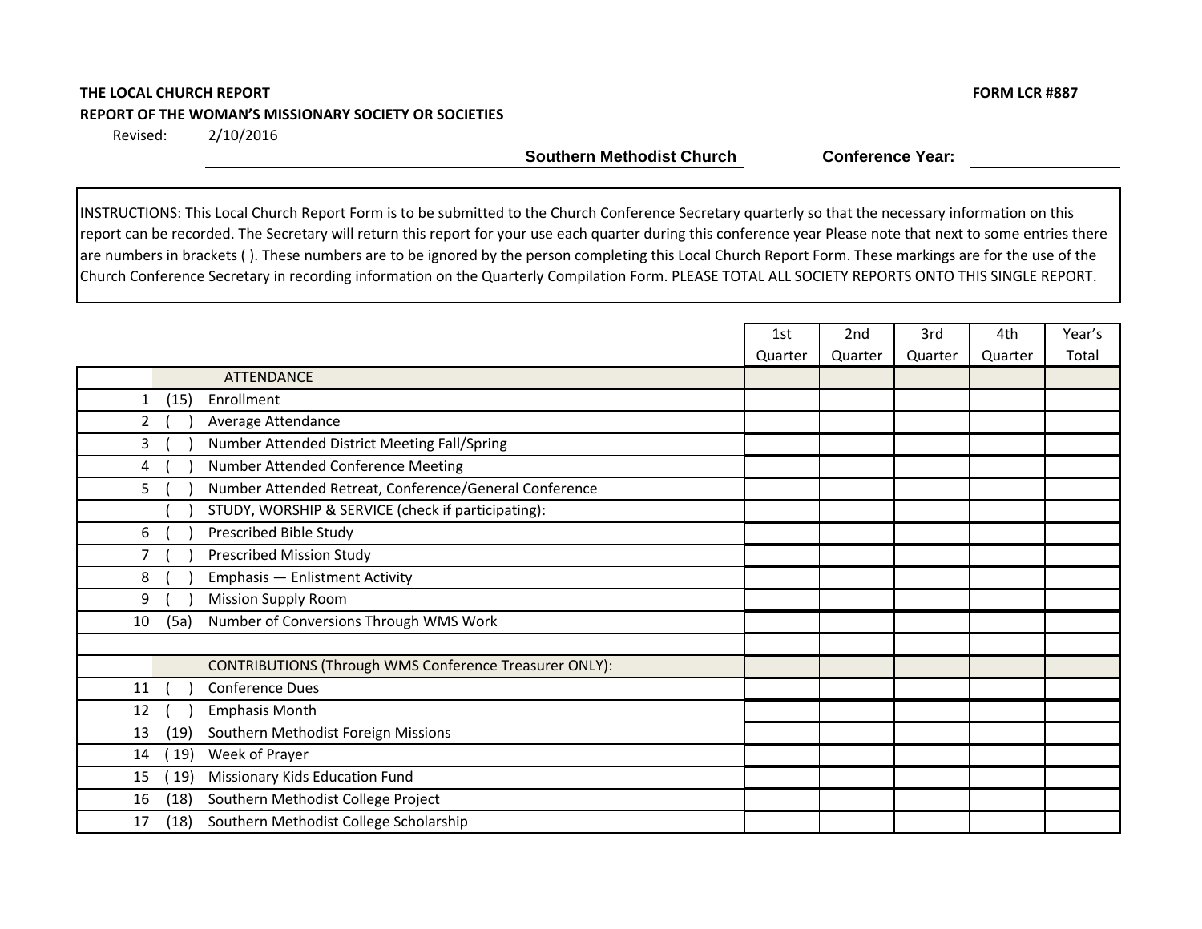## **THE LOCAL CHURCH REPORT FORM LCR #887 REPORT OF THE WOMAN'S MISSIONARY SOCIETY OR SOCIETIES**

2/10/2016 Revised:

**Southern Methodist Church Conference Year:** 

|                                                               | 1st     | 2nd     | 3rd     | 4th     | Year's |
|---------------------------------------------------------------|---------|---------|---------|---------|--------|
|                                                               | Quarter | Quarter | Quarter | Quarter | Total  |
| <b>ATTENDANCE</b>                                             |         |         |         |         |        |
| (15)<br>Enrollment<br>$\mathbf{1}$                            |         |         |         |         |        |
| $\overline{2}$<br>Average Attendance                          |         |         |         |         |        |
| Number Attended District Meeting Fall/Spring<br>3             |         |         |         |         |        |
| Number Attended Conference Meeting<br>4                       |         |         |         |         |        |
| Number Attended Retreat, Conference/General Conference<br>5   |         |         |         |         |        |
| STUDY, WORSHIP & SERVICE (check if participating):            |         |         |         |         |        |
| Prescribed Bible Study<br>6                                   |         |         |         |         |        |
| Prescribed Mission Study<br>7                                 |         |         |         |         |        |
| 8<br>Emphasis - Enlistment Activity                           |         |         |         |         |        |
| 9<br><b>Mission Supply Room</b>                               |         |         |         |         |        |
| Number of Conversions Through WMS Work<br>10<br>(5a)          |         |         |         |         |        |
|                                                               |         |         |         |         |        |
| <b>CONTRIBUTIONS (Through WMS Conference Treasurer ONLY):</b> |         |         |         |         |        |
| <b>Conference Dues</b><br>11                                  |         |         |         |         |        |
| <b>Emphasis Month</b><br>12                                   |         |         |         |         |        |
| Southern Methodist Foreign Missions<br>13<br>(19)             |         |         |         |         |        |
| Week of Prayer<br>19)<br>14                                   |         |         |         |         |        |
| Missionary Kids Education Fund<br>19)<br>15                   |         |         |         |         |        |
| (18)<br>Southern Methodist College Project<br>16              |         |         |         |         |        |
| Southern Methodist College Scholarship<br>(18)<br>17          |         |         |         |         |        |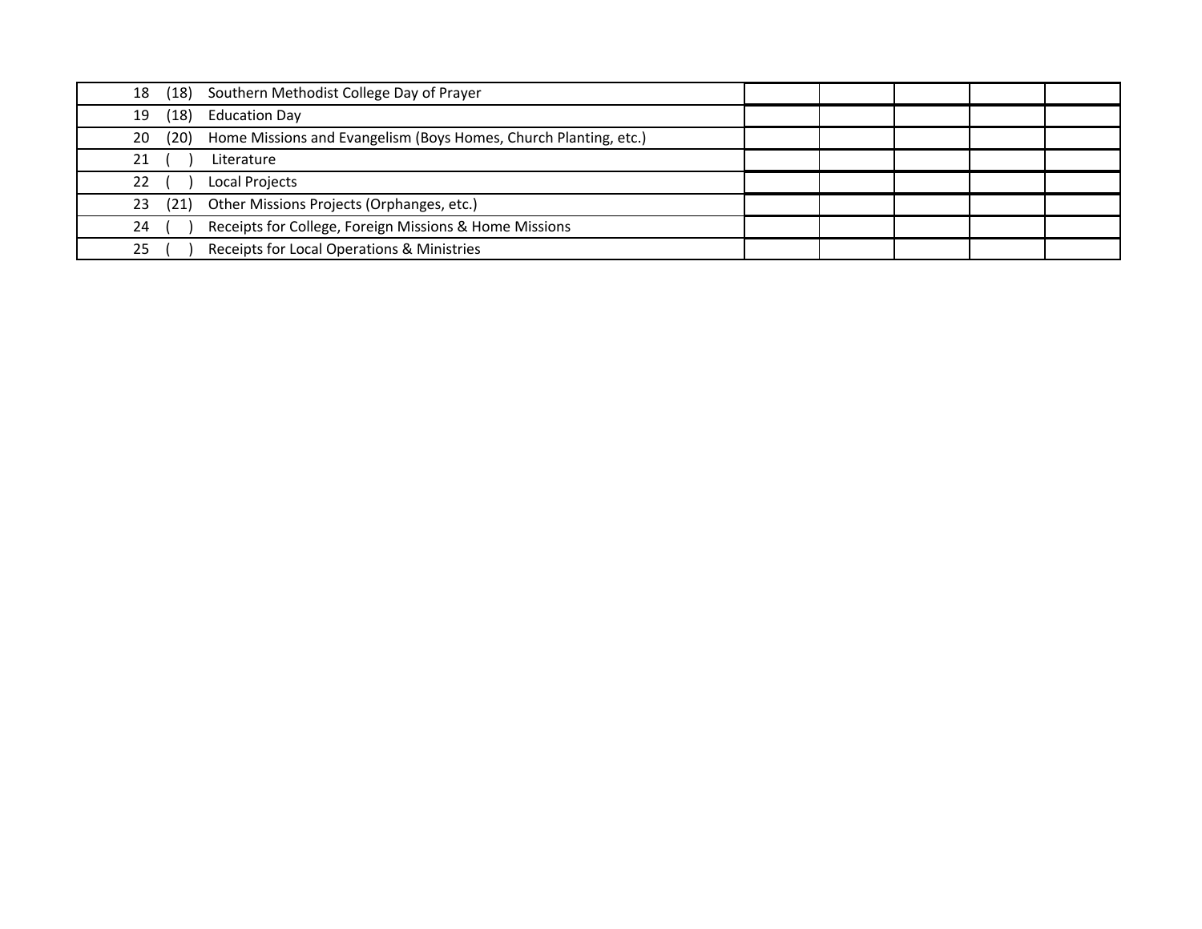| 18         | (18) Southern Methodist College Day of Prayer                    |  |  |  |
|------------|------------------------------------------------------------------|--|--|--|
| (18)<br>19 | <b>Education Day</b>                                             |  |  |  |
| (20)<br>20 | Home Missions and Evangelism (Boys Homes, Church Planting, etc.) |  |  |  |
| 21         | Literature                                                       |  |  |  |
| 22         | <b>Local Projects</b>                                            |  |  |  |
| (21)<br>23 | Other Missions Projects (Orphanges, etc.)                        |  |  |  |
| 24         | Receipts for College, Foreign Missions & Home Missions           |  |  |  |
| 25         | Receipts for Local Operations & Ministries                       |  |  |  |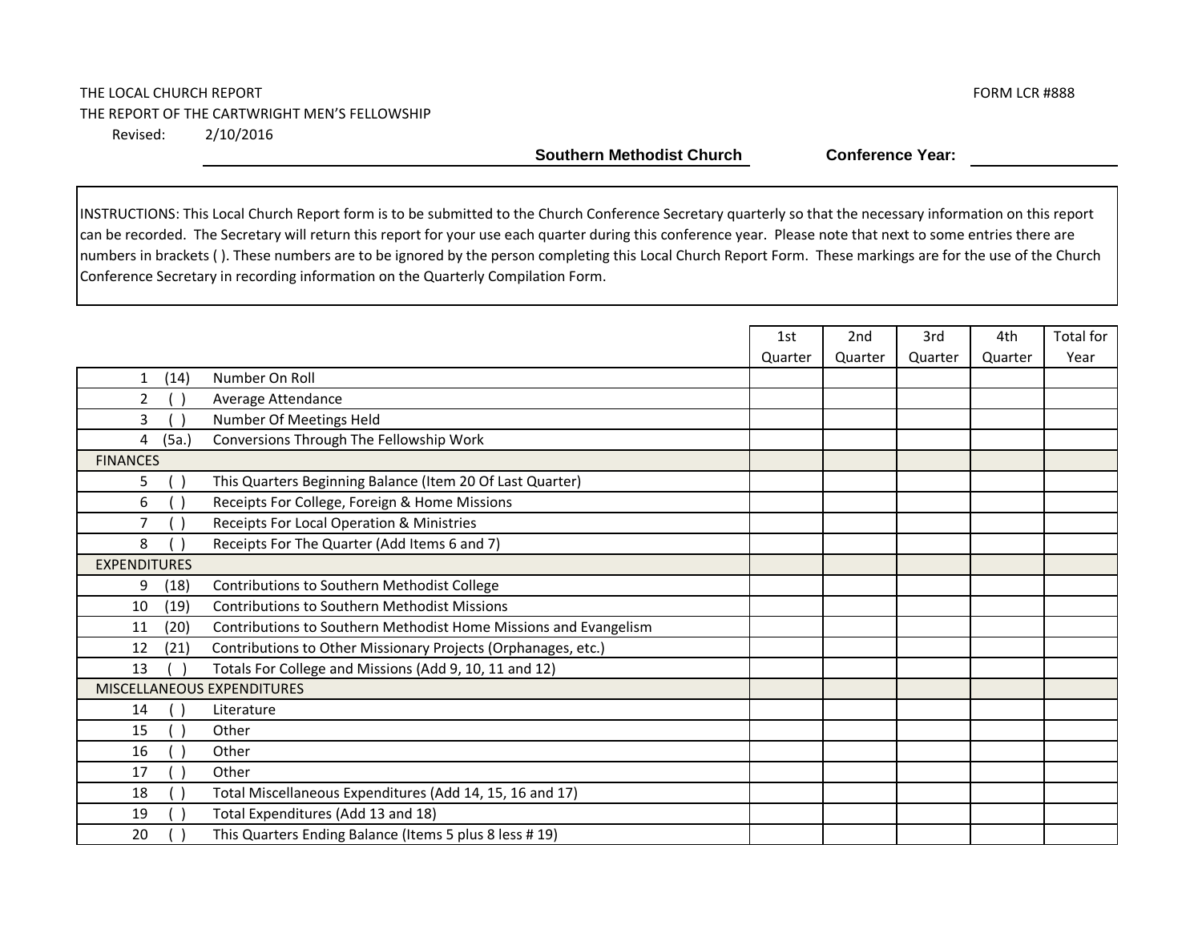#### THE LOCAL CHURCH REPORT THE LOCAL CHURCH REPORT THE REPORT OF THE CARTWRIGHT MEN'S FELLOWSHIP 2/10/2016 Revised:

**Southern Methodist Church Conference Year:** 

|                                                                                | 1st     | 2nd     | 3rd     | 4th     | <b>Total for</b> |
|--------------------------------------------------------------------------------|---------|---------|---------|---------|------------------|
|                                                                                | Quarter | Quarter | Quarter | Quarter | Year             |
| Number On Roll<br>(14)<br>$\mathbf{1}$                                         |         |         |         |         |                  |
| $\overline{2}$<br>Average Attendance                                           |         |         |         |         |                  |
| Number Of Meetings Held<br>3                                                   |         |         |         |         |                  |
| Conversions Through The Fellowship Work<br>(5a.)<br>4                          |         |         |         |         |                  |
| <b>FINANCES</b>                                                                |         |         |         |         |                  |
| This Quarters Beginning Balance (Item 20 Of Last Quarter)<br>5                 |         |         |         |         |                  |
| 6<br>Receipts For College, Foreign & Home Missions                             |         |         |         |         |                  |
| Receipts For Local Operation & Ministries<br>$\overline{7}$                    |         |         |         |         |                  |
| 8<br>Receipts For The Quarter (Add Items 6 and 7)                              |         |         |         |         |                  |
| <b>EXPENDITURES</b>                                                            |         |         |         |         |                  |
| Contributions to Southern Methodist College<br>(18)<br>9                       |         |         |         |         |                  |
| <b>Contributions to Southern Methodist Missions</b><br>(19)<br>10              |         |         |         |         |                  |
| Contributions to Southern Methodist Home Missions and Evangelism<br>(20)<br>11 |         |         |         |         |                  |
| Contributions to Other Missionary Projects (Orphanages, etc.)<br>12<br>(21)    |         |         |         |         |                  |
| Totals For College and Missions (Add 9, 10, 11 and 12)<br>13                   |         |         |         |         |                  |
| MISCELLANEOUS EXPENDITURES                                                     |         |         |         |         |                  |
| 14<br>Literature                                                               |         |         |         |         |                  |
| Other<br>15                                                                    |         |         |         |         |                  |
| 16<br>Other                                                                    |         |         |         |         |                  |
| Other<br>17                                                                    |         |         |         |         |                  |
| Total Miscellaneous Expenditures (Add 14, 15, 16 and 17)<br>18                 |         |         |         |         |                  |
| Total Expenditures (Add 13 and 18)<br>19                                       |         |         |         |         |                  |
| This Quarters Ending Balance (Items 5 plus 8 less # 19)<br>20                  |         |         |         |         |                  |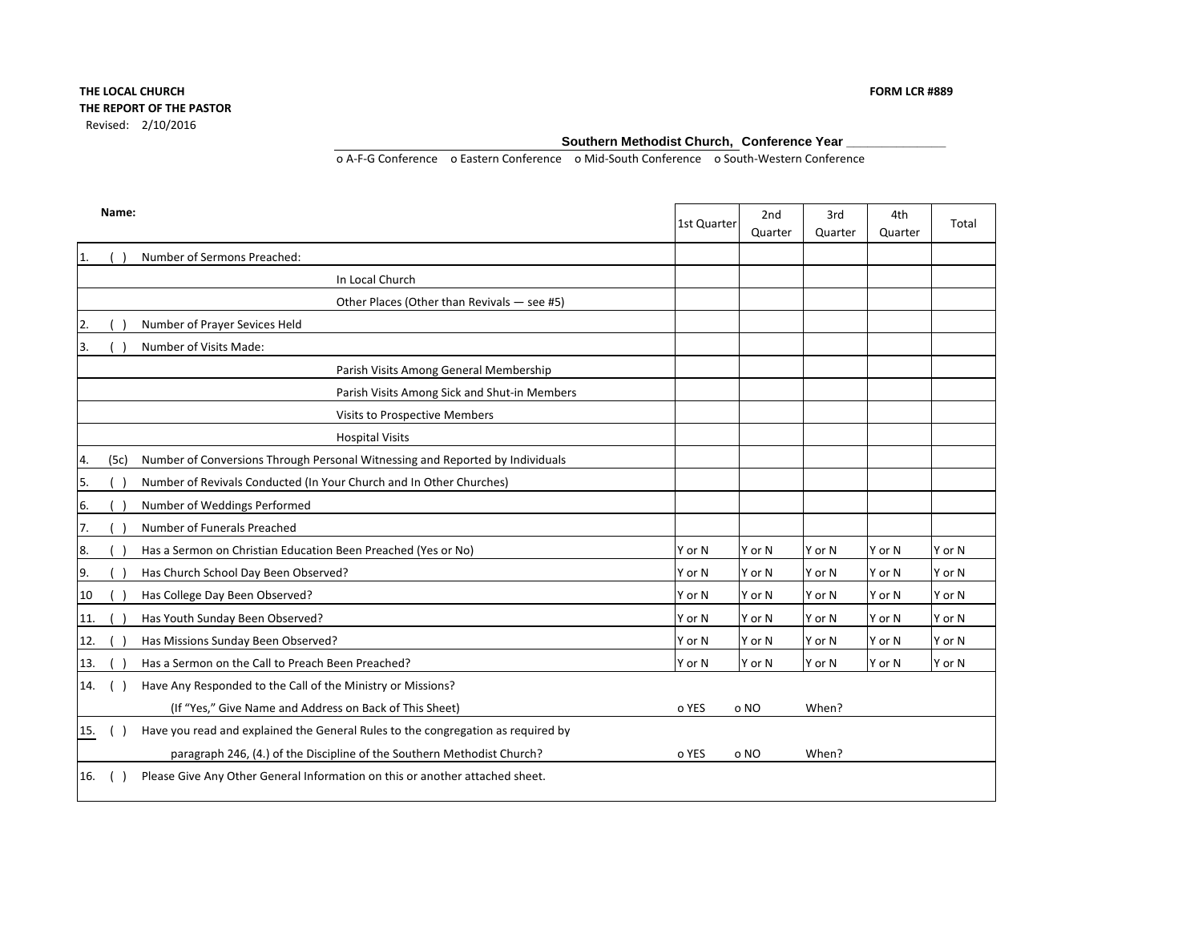#### **Southern Methodist Church, Conference Year \_\_\_\_\_\_\_\_\_\_\_\_\_\_**

o A-F-G Conference o Eastern Conference o Mid-South Conference o South-Western Conference

|     | Name: |                                                                                  | 1st Quarter | 2nd<br>Quarter | 3rd<br>Quarter | 4th<br>Quarter | Total  |
|-----|-------|----------------------------------------------------------------------------------|-------------|----------------|----------------|----------------|--------|
| 1.  |       | Number of Sermons Preached:                                                      |             |                |                |                |        |
|     |       | In Local Church                                                                  |             |                |                |                |        |
|     |       | Other Places (Other than Revivals - see #5)                                      |             |                |                |                |        |
|     |       | Number of Prayer Sevices Held                                                    |             |                |                |                |        |
| 3.  |       | Number of Visits Made:                                                           |             |                |                |                |        |
|     |       | Parish Visits Among General Membership                                           |             |                |                |                |        |
|     |       | Parish Visits Among Sick and Shut-in Members                                     |             |                |                |                |        |
|     |       | Visits to Prospective Members                                                    |             |                |                |                |        |
|     |       | <b>Hospital Visits</b>                                                           |             |                |                |                |        |
| 4.  | (5c)  | Number of Conversions Through Personal Witnessing and Reported by Individuals    |             |                |                |                |        |
| 5.  |       | Number of Revivals Conducted (In Your Church and In Other Churches)              |             |                |                |                |        |
| 6.  |       | Number of Weddings Performed                                                     |             |                |                |                |        |
| 7.  |       | Number of Funerals Preached                                                      |             |                |                |                |        |
| 8.  |       | Has a Sermon on Christian Education Been Preached (Yes or No)                    | Y or N      | Y or N         | Y or N         | Y or N         | Y or N |
| 9.  |       | Has Church School Day Been Observed?                                             | Y or N      | Y or N         | Y or N         | Y or N         | Y or N |
| 10  |       | Has College Day Been Observed?                                                   | Y or N      | Y or N         | Y or N         | Y or N         | Y or N |
| 11. |       | Has Youth Sunday Been Observed?                                                  | Y or N      | Y or N         | Y or N         | Y or N         | Y or N |
| 12. |       | Has Missions Sunday Been Observed?                                               | Y or N      | Y or N         | Y or N         | Y or N         | Y or N |
| 13. |       | Has a Sermon on the Call to Preach Been Preached?                                | Y or N      | Y or N         | Y or N         | Y or N         | Y or N |
| 14. |       | Have Any Responded to the Call of the Ministry or Missions?                      |             |                |                |                |        |
|     |       | (If "Yes," Give Name and Address on Back of This Sheet)                          | o YES       | o NO           | When?          |                |        |
| 15. |       | Have you read and explained the General Rules to the congregation as required by |             |                |                |                |        |
|     |       | paragraph 246, (4.) of the Discipline of the Southern Methodist Church?          | o YES       | o NO           | When?          |                |        |
| 16. |       | Please Give Any Other General Information on this or another attached sheet.     |             |                |                |                |        |